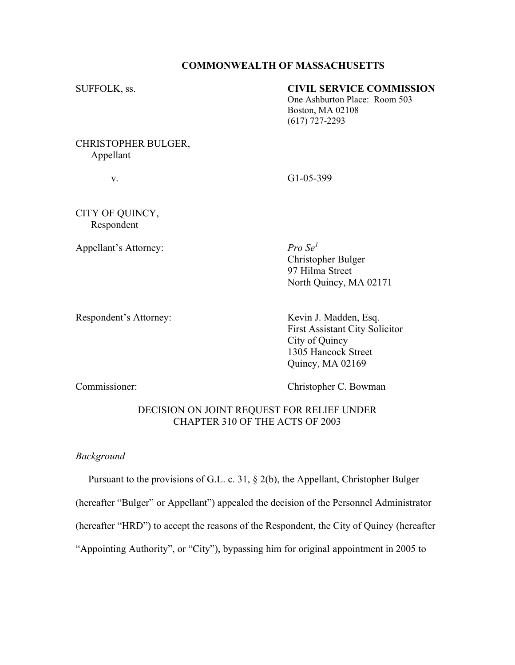### **COMMONWEALTH OF MASSACHUSETTS**

# SUFFOLK, ss. **CIVIL SERVICE COMMISSION**

One Ashburton Place: Room 503 Boston, MA 02108 (617) 727-2293

# CHRISTOPHER BULGER, Appellant

v. G1-05-399

CITY OF QUINCY, Respondent

Appellant's Attorney: *Pro Se<sup>1</sup>* 

Christopher Bulger 97 Hilma Street North Quincy, MA 02171

Respondent's Attorney: Kevin J. Madden, Esq. First Assistant City Solicitor City of Quincy 1305 Hancock Street Quincy, MA 02169

Commissioner: Christopher C. Bowman

# DECISION ON JOINT REQUEST FOR RELIEF UNDER CHAPTER 310 OF THE ACTS OF 2003

*Background*

Pursuant to the provisions of G.L. c. 31, § 2(b), the Appellant, Christopher Bulger

(hereafter "Bulger" or Appellant") appealed the decision of the Personnel Administrator

(hereafter "HRD") to accept the reasons of the Respondent, the City of Quincy (hereafter

"Appointing Authority", or "City"), bypassing him for original appointment in 2005 to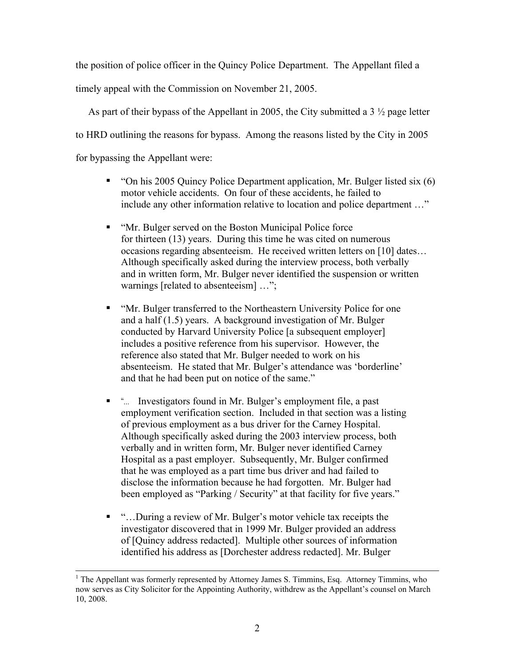the position of police officer in the Quincy Police Department. The Appellant filed a

timely appeal with the Commission on November 21, 2005.

 As part of their bypass of the Appellant in 2005, the City submitted a 3 ½ page letter to HRD outlining the reasons for bypass. Among the reasons listed by the City in 2005 for bypassing the Appellant were:

- $\blacksquare$  "On his 2005 Ouincy Police Department application, Mr. Bulger listed six (6) motor vehicle accidents. On four of these accidents, he failed to include any other information relative to location and police department ..."
- "Mr. Bulger served on the Boston Municipal Police force" for thirteen (13) years. During this time he was cited on numerous  $occasions regarding absence is more. He received written letters on [10] dates...$ Although specifically asked during the interview process, both verbally and in written form, Mr. Bulger never identified the suspension or written warnings [related to absenteeism] ...";
- "Mr. Bulger transferred to the Northeastern University Police for one and a half (1.5) years. A background investigation of Mr. Bulger conducted by Harvard University Police [a subsequent employer] includes a positive reference from his supervisor. However, the reference also stated that Mr. Bulger needed to work on his absenteeism. He stated that Mr. Bulger's attendance was 'borderline' and that he had been put on notice of the same."
- "... Investigators found in Mr. Bulger's employment file, a past employment verification section. Included in that section was a listing of previous employment as a bus driver for the Carney Hospital. Although specifically asked during the 2003 interview process, both verbally and in written form, Mr. Bulger never identified Carney Hospital as a past employer. Subsequently, Mr. Bulger confirmed that he was employed as a part time bus driver and had failed to disclose the information because he had forgotten. Mr. Bulger had been employed as "Parking / Security" at that facility for five years."
- "...During a review of Mr. Bulger's motor vehicle tax receipts the investigator discovered that in 1999 Mr. Bulger provided an address of [Quincy address redacted]. Multiple other sources of information identified his address as [Dorchester address redacted]. Mr. Bulger

l

<sup>&</sup>lt;sup>1</sup> The Appellant was formerly represented by Attorney James S. Timmins, Esq. Attorney Timmins, who now serves as City Solicitor for the Appointing Authority, withdrew as the Appellant's counsel on March 10, 2008.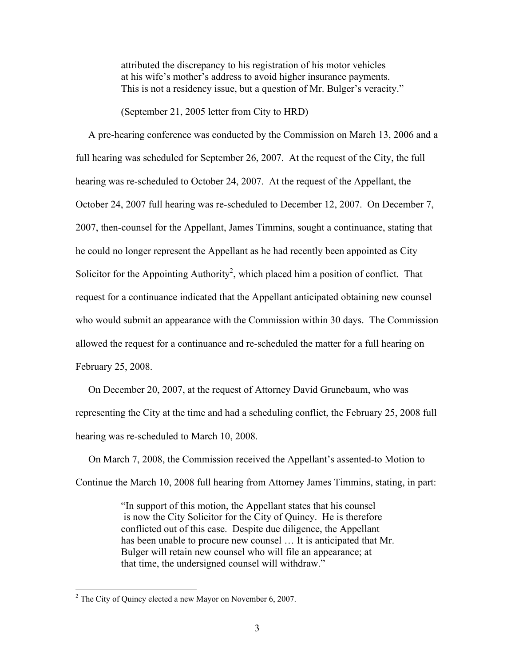attributed the discrepancy to his registration of his motor vehicles at his wife's mother's address to avoid higher insurance payments. This is not a residency issue, but a question of Mr. Bulger's veracity."

(September 21, 2005 letter from City to HRD)

 A pre-hearing conference was conducted by the Commission on March 13, 2006 and a full hearing was scheduled for September 26, 2007. At the request of the City, the full hearing was re-scheduled to October 24, 2007. At the request of the Appellant, the October 24, 2007 full hearing was re-scheduled to December 12, 2007. On December 7, 2007, then-counsel for the Appellant, James Timmins, sought a continuance, stating that he could no longer represent the Appellant as he had recently been appointed as City Solicitor for the Appointing Authority<sup>2</sup>, which placed him a position of conflict. That request for a continuance indicated that the Appellant anticipated obtaining new counsel who would submit an appearance with the Commission within 30 days. The Commission allowed the request for a continuance and re-scheduled the matter for a full hearing on February 25, 2008.

 On December 20, 2007, at the request of Attorney David Grunebaum, who was representing the City at the time and had a scheduling conflict, the February 25, 2008 full hearing was re-scheduled to March 10, 2008.

On March 7, 2008, the Commission received the Appellant's assented-to Motion to Continue the March 10, 2008 full hearing from Attorney James Timmins, stating, in part:

> ³In support of this motion, the Appellant states that his counsel is now the City Solicitor for the City of Quincy. He is therefore conflicted out of this case. Despite due diligence, the Appellant has been unable to procure new counsel ... It is anticipated that Mr. Bulger will retain new counsel who will file an appearance; at that time, the undersigned counsel will withdraw.´

l

 $2^2$  The City of Quincy elected a new Mayor on November 6, 2007.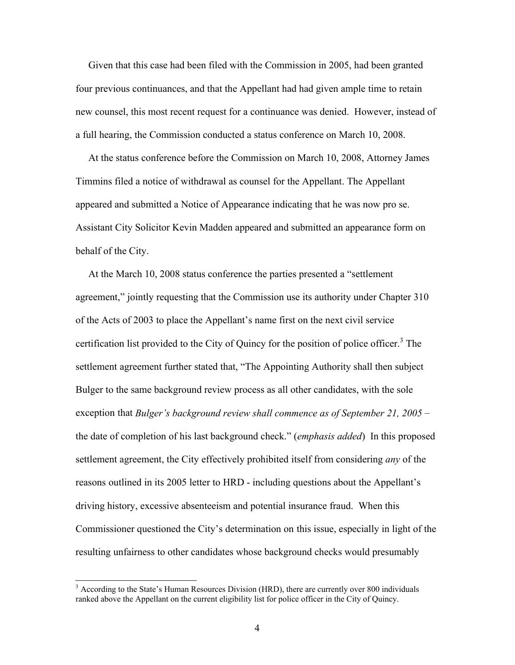Given that this case had been filed with the Commission in 2005, had been granted four previous continuances, and that the Appellant had had given ample time to retain new counsel, this most recent request for a continuance was denied. However, instead of a full hearing, the Commission conducted a status conference on March 10, 2008.

 At the status conference before the Commission on March 10, 2008, Attorney James Timmins filed a notice of withdrawal as counsel for the Appellant. The Appellant appeared and submitted a Notice of Appearance indicating that he was now pro se. Assistant City Solicitor Kevin Madden appeared and submitted an appearance form on behalf of the City.

At the March 10, 2008 status conference the parties presented a "settlement" agreement," jointly requesting that the Commission use its authority under Chapter 310 of the Acts of 2003 to place the Appellant's name first on the next civil service certification list provided to the City of Quincy for the position of police officer.<sup>3</sup> The settlement agreement further stated that, "The Appointing Authority shall then subject Bulger to the same background review process as all other candidates, with the sole exception that *Bulger*'s background review shall commence as of September 21, 2005 – the date of completion of his last background check.´ (*emphasis added*) In this proposed settlement agreement, the City effectively prohibited itself from considering *any* of the reasons outlined in its 2005 letter to HRD - including questions about the Appellant's driving history, excessive absenteeism and potential insurance fraud. When this Commissioner questioned the City's determination on this issue, especially in light of the resulting unfairness to other candidates whose background checks would presumably

l

<sup>&</sup>lt;sup>3</sup> According to the State's Human Resources Division (HRD), there are currently over 800 individuals ranked above the Appellant on the current eligibility list for police officer in the City of Quincy.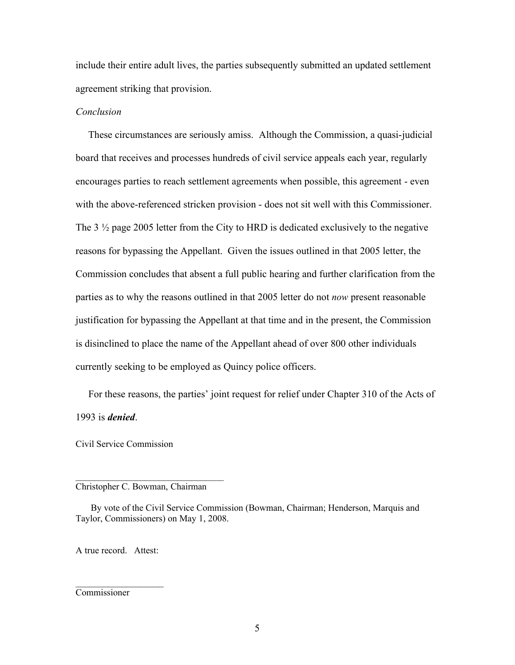include their entire adult lives, the parties subsequently submitted an updated settlement agreement striking that provision.

### *Conclusion*

 These circumstances are seriously amiss. Although the Commission, a quasi-judicial board that receives and processes hundreds of civil service appeals each year, regularly encourages parties to reach settlement agreements when possible, this agreement - even with the above-referenced stricken provision - does not sit well with this Commissioner. The 3 ½ page 2005 letter from the City to HRD is dedicated exclusively to the negative reasons for bypassing the Appellant. Given the issues outlined in that 2005 letter, the Commission concludes that absent a full public hearing and further clarification from the parties as to why the reasons outlined in that 2005 letter do not *now* present reasonable justification for bypassing the Appellant at that time and in the present, the Commission is disinclined to place the name of the Appellant ahead of over 800 other individuals currently seeking to be employed as Quincy police officers.

For these reasons, the parties' joint request for relief under Chapter 310 of the Acts of 1993 is *denied*.

Civil Service Commission

#### Christopher C. Bowman, Chairman

 $\mathcal{L}_\text{max}$ 

By vote of the Civil Service Commission (Bowman, Chairman; Henderson, Marquis and Taylor, Commissioners) on May 1, 2008.

A true record. Attest:

 $\mathcal{L}_\text{max}$ 

Commissioner